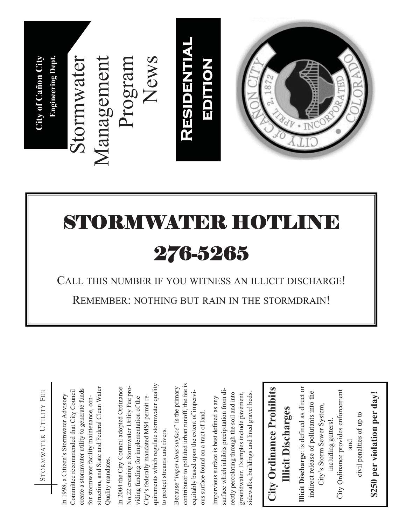

## NYAYNDIR HO 276-5265

CALL THIS NUMBER IF YOU WITNESS AN ILLICIT DISCHARGE!

STORMWATER UTILITY FEE STORMWATER UTILITY FEE

struction, and State and Federal Clean Water struction, and State and Federal Clean Water create a stormwater utility to generate funds create a stormwater utility to generate funds Committee recommended that City Council Committee recommended that City Council In 1998, a Citizen's Stormwater Advisory In 1998, a Citizen's Stormwater Advisory for stormwater facility maintenance, confor stormwater facility maintenance, con-Quality mandates. Quality mandates.

quirements which regulate stormwater quality quirements which regulate stormwater quality In 2004 the City Council adopted Ordinance In 2004 the City Council adopted Ordinance No.22 creating a Stormwater Utility Fee pro-No.22 creating a Stormwater Utility Fee pro-City's federally mandated MS4 permit re-City's federally mandated MS4 permit reviding funding for implementation of the viding funding for implementation of the to protect streams and rivers. to protect streams and rivers.

contributor to polluted urban runoff, the fee is contributor to polluted urban runoff, the fee is Because "*impervious surface*" is the primary Because "impervious surface" is the primary equitably based upon the extent of imperviequitably based upon the extent of impervious surface found on a tract of land. ous surface found on a tract of land.

surface which inhibits precipitation from disurface which inhibits precipitation from disidewalks, buildings and lined gravel beds. rectly percolating through the soil and into groundwater. Examples include pavement, rectly percolating through the soil and into sidewalks, buildings and lined gravel beds. groundwater. Examples include pavement, Impervious surface is best defined as any Impervious surface is best defined as any

## **City Ordinance Prohibits**  City Ordinance Prohibits **Illicit Discharges Illicit Discharges**

**Illicit Discharge**: is defined as direct or Illicit Discharge: is defined as direct or City Ordinance provides enforcement indirect release of pollutants into the indirect release of pollutants into the City Ordinance provides enforcement City's Storm Sewer System, City's Storm Sewer System, civil penalties of up to civil penalties of up to including gutters!. including gutters!. and

## \$250 per violation per day! **\$250 per violation per day!**